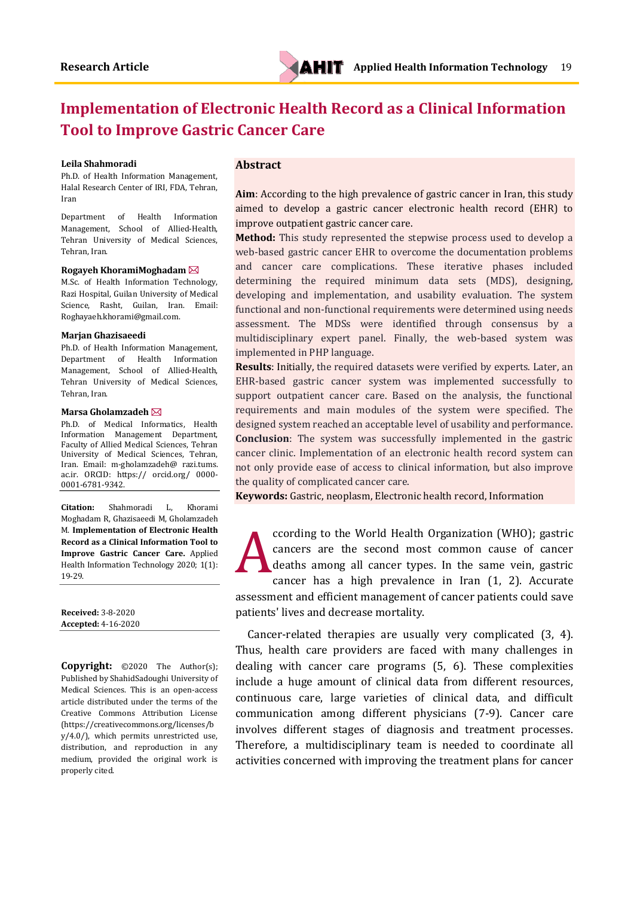# **Implementation of Electronic Health Record as a Clinical Information Tool to Improve Gastric Cancer Care**

#### **Leila Shahmoradi**

Ph.D. of Health Information Management, Halal Research Center of IRI, FDA, Tehran, Iran

Department of Health Information Management, School of Allied-Health, Tehran University of Medical Sciences, Tehran, Iran.

#### **Rogayeh KhoramiMoghadam**

M.Sc. of Health Information Technology, Razi Hospital, Guilan University of Medical Science, Rasht, Guilan, Iran. Email: [Roghayaeh.khorami@gmail.com.](mailto:Roghayaeh.khorami@gmail.com)

#### **Marjan Ghazisaeedi**

Ph.D. of Health Information Management, Department of Health Information Management, School of Allied-Health, Tehran University of Medical Sciences, Tehran, Iran.

#### **Marsa Gholamzadeh**

Ph.D. of Medical Informatics, Health Information Management Department, Faculty of Allied Medical Sciences, Tehran University of Medical Sciences, Tehran, Iran. Email: m-gholamzadeh@ razi.tums. ac.ir. ORCID: https:// orcid.org/ 0000- 0001-6781-9342.

**Citation:** Shahmoradi L, Khorami Moghadam R, Ghazisaeedi M, Gholamzadeh M. **Implementation of Electronic Health Record as a Clinical Information Tool to Improve Gastric Cancer Care.** Applied Health Information Technology 2020; 1(1): 19-29.

**Received:** 3-8-2020 **Accepted:** 4-16-2020

**Copyright:** ©2020 The Author(s); Published by ShahidSadoughi University of Medical Sciences. This is an open-access article distributed under the terms of the Creative Commons Attribution License (https://creativecommons.org/licenses/b y/4.0/), which permits unrestricted use, distribution, and reproduction in any medium, provided the original work is properly cited.

### **Abstract**

**Aim**: According to the high prevalence of gastric cancer in Iran, this study aimed to develop a gastric cancer electronic health record (EHR) to improve outpatient gastric cancer care.

**Method:** This study represented the stepwise process used to develop a web-based gastric cancer EHR to overcome the documentation problems and cancer care complications. These iterative phases included determining the required minimum data sets (MDS), designing, developing and implementation, and usability evaluation. The system functional and non-functional requirements were determined using needs assessment. The MDSs were identified through consensus by a multidisciplinary expert panel. Finally, the web-based system was implemented in PHP language.

**Results**: Initially, the required datasets were verified by experts. Later, an EHR-based gastric cancer system was implemented successfully to support outpatient cancer care. Based on the analysis, the functional requirements and main modules of the system were specified. The designed system reached an acceptable level of usability and performance. **Conclusion**: The system was successfully implemented in the gastric cancer clinic. Implementation of an electronic health record system can not only provide ease of access to clinical information, but also improve the quality of complicated cancer care.

**Keywords:** Gastric, neoplasm, Electronic health record, Information

ccording to the World Health Organization (WHO); gastric cancers are the second most common cause of cancer deaths among all cancer types. In the same vein, gastric cancer has a high prevalence in Iran (1, 2). Accurate assessment and efficient management of cancer patients could save patients' lives and decrease mortality. A

Cancer-related therapies are usually very complicated (3, 4). Thus, health care providers are faced with many challenges in dealing with cancer care programs (5, 6). These complexities include a huge amount of clinical data from different resources, continuous care, large varieties of clinical data, and difficult communication among different physicians (7-9). Cancer care involves different stages of diagnosis and treatment processes. Therefore, a multidisciplinary team is needed to coordinate all activities concerned with improving the treatment plans for cancer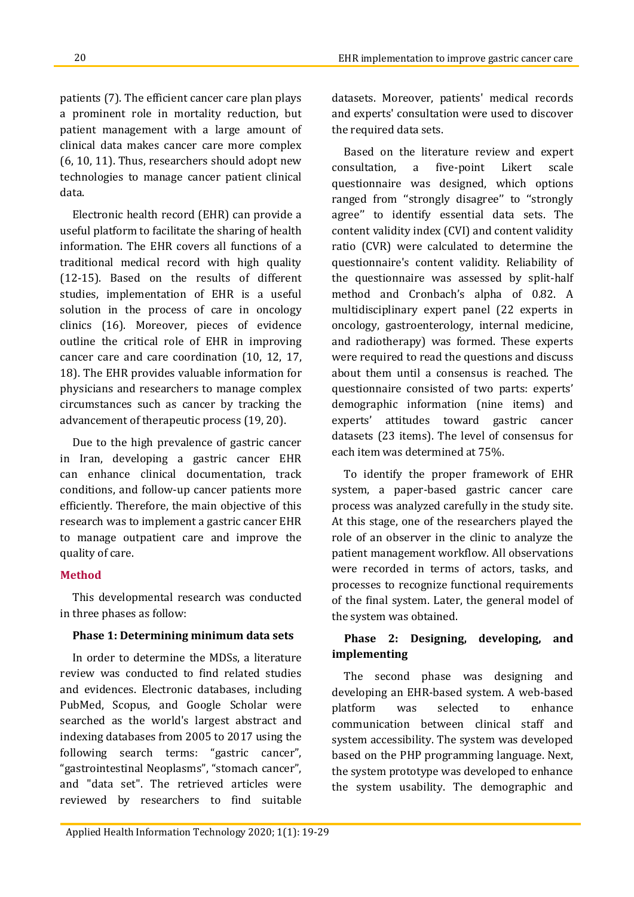patients (7). The efficient cancer care plan plays a prominent role in mortality reduction, but patient management with a large amount of clinical data makes cancer care more complex (6, 10, 11). Thus, researchers should adopt new technologies to manage cancer patient clinical data.

Electronic health record (EHR) can provide a useful platform to facilitate the sharing of health information. The EHR covers all functions of a traditional medical record with high quality (12-15). Based on the results of different studies, implementation of EHR is a useful solution in the process of care in oncology clinics (16). Moreover, pieces of evidence outline the critical role of EHR in improving cancer care and care coordination (10, 12, 17, 18). The EHR provides valuable information for physicians and researchers to manage complex circumstances such as cancer by tracking the advancement of therapeutic process (19, 20).

Due to the high prevalence of gastric cancer in Iran, developing a gastric cancer EHR can enhance clinical documentation, track conditions, and follow-up cancer patients more efficiently. Therefore, the main objective of this research was to implement a gastric cancer EHR to manage outpatient care and improve the quality of care.

### **Method**

This developmental research was conducted in three phases as follow:

### **Phase 1: Determining minimum data sets**

In order to determine the MDSs, a literature review was conducted to find related studies and evidences. Electronic databases, including PubMed, Scopus, and Google Scholar were searched as the world's largest abstract and indexing databases from 2005 to 2017 using the following search terms: "gastric cancer", "gastrointestinal Neoplasms", "stomach cancer", and "data set". The retrieved articles were reviewed by researchers to find suitable

datasets. Moreover, patients' medical records and experts' consultation were used to discover the required data sets.

Based on the literature review and expert consultation, a five-point Likert scale questionnaire was designed, which options ranged from ''strongly disagree'' to ''strongly agree'' to identify essential data sets. The content validity index (CVI) and content validity ratio (CVR) were calculated to determine the questionnaire's content validity. Reliability of the questionnaire was assessed by split-half method and Cronbach's alpha of 0.82. A multidisciplinary expert panel (22 experts in oncology, gastroenterology, internal medicine, and radiotherapy) was formed. These experts were required to read the questions and discuss about them until a consensus is reached. The questionnaire consisted of two parts: experts' demographic information (nine items) and experts' attitudes toward gastric cancer datasets (23 items). The level of consensus for each item was determined at 75%.

To identify the proper framework of EHR system, a paper-based gastric cancer care process was analyzed carefully in the study site. At this stage, one of the researchers played the role of an observer in the clinic to analyze the patient management workflow. All observations were recorded in terms of actors, tasks, and processes to recognize functional requirements of the final system. Later, the general model of the system was obtained.

# **Phase 2: Designing, developing, and implementing**

The second phase was designing and developing an EHR-based system. A web-based platform was selected to enhance communication between clinical staff and system accessibility. The system was developed based on the PHP programming language. Next, the system prototype was developed to enhance the system usability. The demographic and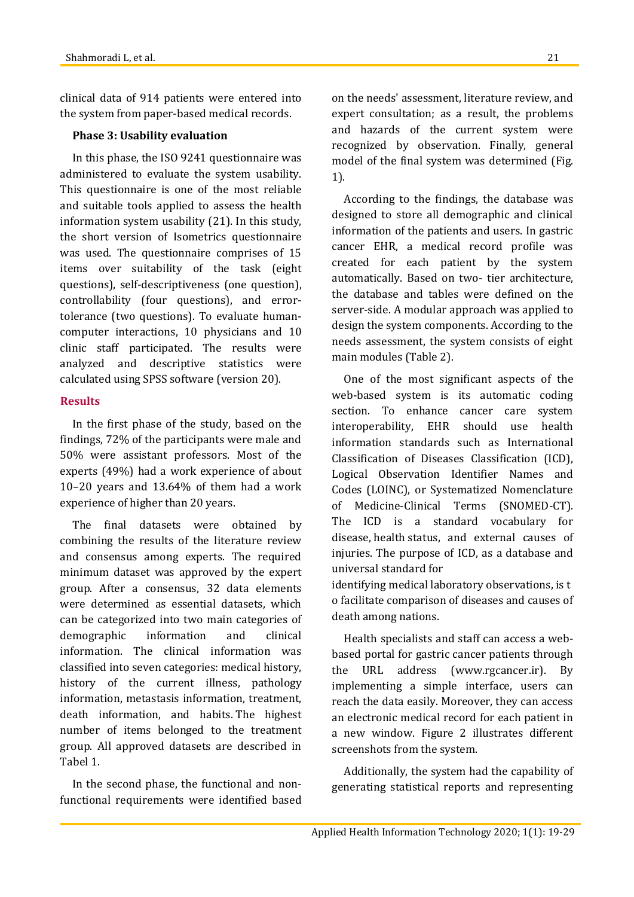clinical data of 914 patients were entered into the system from paper-based medical records.

## **Phase 3: Usability evaluation**

In this phase, the ISO 9241 questionnaire was administered to evaluate the system usability. This questionnaire is one of the most reliable and suitable tools applied to assess the health information system usability (21). In this study, the short version of Isometrics questionnaire was used. The questionnaire comprises of 15 items over suitability of the task (eight questions), self-descriptiveness (one question), controllability (four questions), and errortolerance (two questions). To evaluate humancomputer interactions, 10 physicians and 10 clinic staff participated. The results were analyzed and descriptive statistics were calculated using SPSS software (version 20).

### **Results**

In the first phase of the study, based on the findings, 72% of the participants were male and 50% were assistant professors. Most of the experts (49%) had a work experience of about 10–20 years and 13.64% of them had a work experience of higher than 20 years.

The final datasets were obtained by combining the results of the literature review and consensus among experts. The required minimum dataset was approved by the expert group. After a consensus, 32 data elements were determined as essential datasets, which can be categorized into two main categories of demographic information and clinical information. The clinical information was classified into seven categories: medical history, history of the current illness, pathology information, metastasis information, treatment, death information, and habits. The highest number of items belonged to the treatment group. All approved datasets are described in Tabel 1.

In the second phase, the functional and nonfunctional requirements were identified based on the needs' assessment, literature review, and expert consultation; as a result, the problems and hazards of the current system were recognized by observation. Finally, general model of the final system was determined (Fig. 1).

According to the findings, the database was designed to store all demographic and clinical information of the patients and users. In gastric cancer EHR, a medical record profile was created for each patient by the system automatically. Based on two- tier architecture, the database and tables were defined on the server-side. A modular approach was applied to design the system components. According to the needs assessment, the system consists of eight main modules (Table 2).

One of the most significant aspects of the web-based system is its automatic coding section. To enhance cancer care system interoperability, EHR should use health information standards such as International Classification of Diseases Classification (ICD), Logical Observation Identifier Names and Codes (LOINC), or Systematized Nomenclature of Medicine-Clinical Terms (SNOMED-CT). The ICD is a standard vocabulary for disease, health status, and external causes of injuries. The purpose of ICD, as a database and universal standard for

identifying medical laboratory observations, is t o facilitate comparison of diseases and causes of death among nations.

Health specialists and staff can access a webbased portal for gastric cancer patients through the URL address (www.rgcancer.ir). By implementing a simple interface, users can reach the data easily. Moreover, they can access an electronic medical record for each patient in a new window. Figure 2 illustrates different screenshots from the system.

Additionally, the system had the capability of generating statistical reports and representing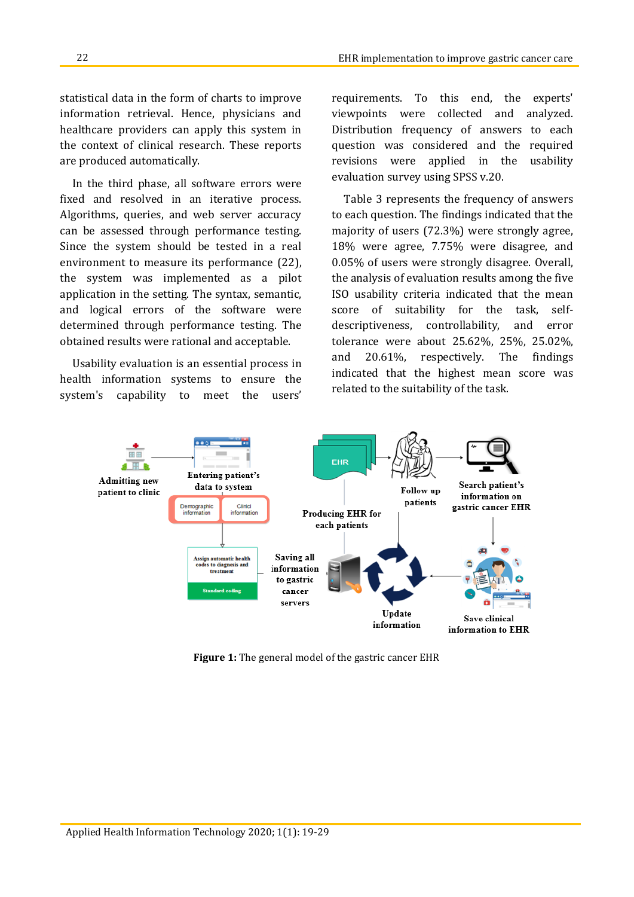statistical data in the form of charts to improve information retrieval. Hence, physicians and healthcare providers can apply this system in the context of clinical research. These reports are produced automatically.

In the third phase, all software errors were fixed and resolved in an iterative process. Algorithms, queries, and web server accuracy can be assessed through performance testing. Since the system should be tested in a real environment to measure its performance (22), the system was implemented as a pilot application in the setting. The syntax, semantic, and logical errors of the software were determined through performance testing. The obtained results were rational and acceptable.

Usability evaluation is an essential process in health information systems to ensure the system's capability to meet the users' requirements. To this end, the experts' viewpoints were collected and analyzed. Distribution frequency of answers to each question was considered and the required revisions were applied in the usability evaluation survey using SPSS v.20.

Table 3 represents the frequency of answers to each question. The findings indicated that the majority of users (72.3%) were strongly agree, 18% were agree, 7.75% were disagree, and 0.05% of users were strongly disagree. Overall, the analysis of evaluation results among the five ISO usability criteria indicated that the mean score of suitability for the task, selfdescriptiveness, controllability, and error tolerance were about 25.62%, 25%, 25.02%, and 20.61%, respectively. The findings indicated that the highest mean score was related to the suitability of the task.



**Figure 1:** The general model of the gastric cancer EHR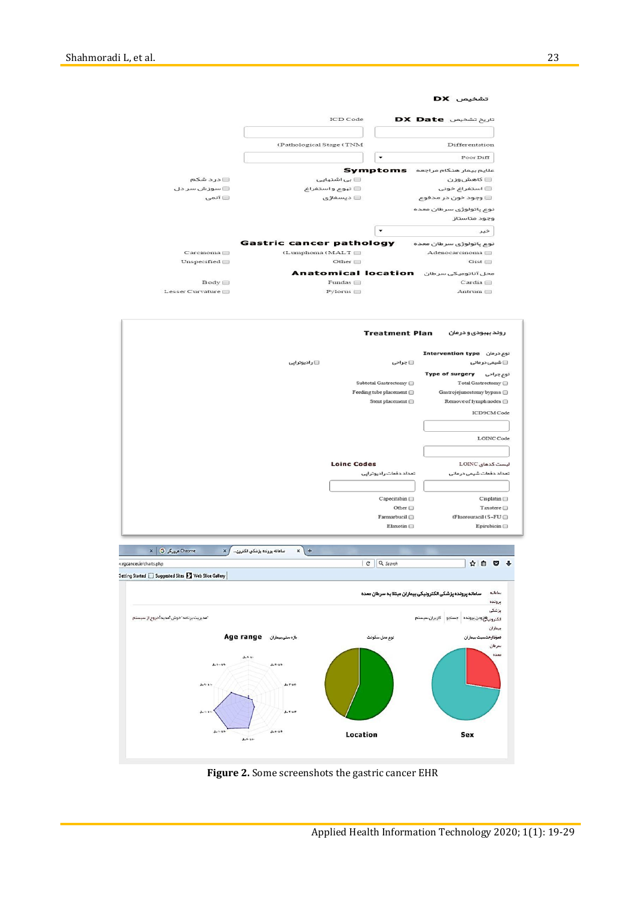|                                                       |                                      |                                            | تشخيص DX                                                                                     |
|-------------------------------------------------------|--------------------------------------|--------------------------------------------|----------------------------------------------------------------------------------------------|
|                                                       | ICD Code                             |                                            | تاريخ تشخيص DX Date                                                                          |
|                                                       |                                      |                                            |                                                                                              |
|                                                       |                                      |                                            |                                                                                              |
|                                                       | (Pathological Stage (TNM             |                                            | Differentation                                                                               |
|                                                       |                                      | T                                          | Poor Diff                                                                                    |
|                                                       |                                      |                                            | علايم بيمار هنكام مراجعه Symptoms                                                            |
| <b>احرد شکم</b>                                       | □ بى اشتبايى                         |                                            | □ كاھش وزن                                                                                   |
| ا سوزش سر دل<br>⊟ آئمی                                | □ تبوع و استفراغ<br><b>□ ديسفاژي</b> |                                            | <b>الستفراغ خونی</b><br><b>ا وجود خون در مدفوع</b>                                           |
|                                                       |                                      |                                            |                                                                                              |
|                                                       |                                      |                                            | نوع پاتولوژي سرطان معده<br>وجود متاستاز                                                      |
|                                                       |                                      |                                            |                                                                                              |
|                                                       |                                      | ٠                                          | خير                                                                                          |
|                                                       | <b>Gastric cancer pathology</b>      |                                            | نوع پاتولوژی سر طان معده                                                                     |
| Carcinoma <sup>[11]</sup>                             | (Lumphoma (MALT □                    |                                            | Adenocarcinoma <sup>[1]</sup>                                                                |
| Unspecified                                           | Other [                              |                                            | Gist <sup>[1]</sup>                                                                          |
|                                                       | <b>Anatomical location</b>           |                                            | محل آناتومیکی سرطان                                                                          |
| Body O                                                | Fundas $\Box$                        |                                            | Cardia [                                                                                     |
| Lesser Curvature                                      | Pylorus <sup>1</sup>                 |                                            | Antrum                                                                                       |
|                                                       |                                      | <b>Treatment Plan</b>                      | روند بېبودی و درمان                                                                          |
|                                                       |                                      |                                            | توم درمان Intervention type                                                                  |
|                                                       | <b>ال</b> راديوتراپى                 | ⊟ چراحی                                    | ⊜ شیمی در مانی                                                                               |
|                                                       |                                      |                                            | <b>Type of surgery</b><br>نوع جراحی                                                          |
|                                                       |                                      | Subtotal Gastrectomy                       | $\operatorname{\mathsf{T}otal}\nolimits\operatorname{\mathsf{G}}\nolimits$ astrectomy $\Box$ |
|                                                       |                                      | Feeding tube placement $\Box$              | Gastrojejunostomy bypass                                                                     |
|                                                       |                                      | Stent placement                            | Remove of lymph nodes □                                                                      |
|                                                       |                                      |                                            | ICD9CM Code                                                                                  |
|                                                       |                                      |                                            |                                                                                              |
|                                                       |                                      |                                            | LOINC Code                                                                                   |
|                                                       |                                      |                                            |                                                                                              |
|                                                       | <b>Loinc Codes</b>                   |                                            | لیست کدهای LOINC                                                                             |
|                                                       |                                      | تعداد دفعات راديوتراپى                     | تعداد دفعات شيمى درمانى                                                                      |
|                                                       |                                      |                                            |                                                                                              |
|                                                       |                                      |                                            |                                                                                              |
|                                                       |                                      | Capecitabin <sup>(1)</sup><br>Other $\Box$ | Cisplatin<br>Taxotere <sup>1</sup>                                                           |
|                                                       |                                      | Farmarbucil <sup>O</sup>                   | (Fluorouracil (5-FU □                                                                        |
|                                                       |                                      | Elaxotin O                                 | Epirubicin                                                                                   |
|                                                       |                                      |                                            |                                                                                              |
| Chrome مرورگر G X<br>سامانه پرونده پزشکی الکترون / ×  | $x$ +                                |                                            |                                                                                              |
| v.rgcancer.ir/charts.php                              |                                      | Q Search<br>$\epsilon$                     | ☆自 ◎ ↓                                                                                       |
| Getting Started C Suggested Sites M Web Slice Gallery |                                      |                                            |                                                                                              |
|                                                       |                                      |                                            | سامانه پرونده پزشکی الکترونیکی بیماران مبتلا به سرطان معده<br>سامانه<br>برونده<br>ېزشكى      |
| 'مدیریت برنامه' خوش آمدید!خروج از سیستم               |                                      |                                            | الكترونيك فإودن برونده حستجو كاربران سيستم<br>بيماران                                        |
| Age range                                             | بازه سنی بیماران                     | نوم محل سکونت                              | موقارجنسيت بيماران                                                                           |
|                                                       |                                      |                                            | سرطان                                                                                        |
| $3 - 1 - 1$<br>$3 - 1 - 64$                           | $3 - 7 - 61$                         |                                            | معده                                                                                         |
|                                                       |                                      |                                            |                                                                                              |
| $3 - 4 - 6$                                           | $J - T U T$                          |                                            |                                                                                              |
|                                                       |                                      |                                            |                                                                                              |
|                                                       |                                      |                                            |                                                                                              |
| $J_{\rm m} \approx 0.1$                               | $J = T U T$                          |                                            |                                                                                              |
|                                                       |                                      |                                            |                                                                                              |
| $J = 10.68$                                           | $J - 1 - U T$                        |                                            |                                                                                              |
| $J_0 + D_1$                                           | Location                             |                                            | Sex                                                                                          |

**Figure 2.** Some screenshots the gastric cancer EHR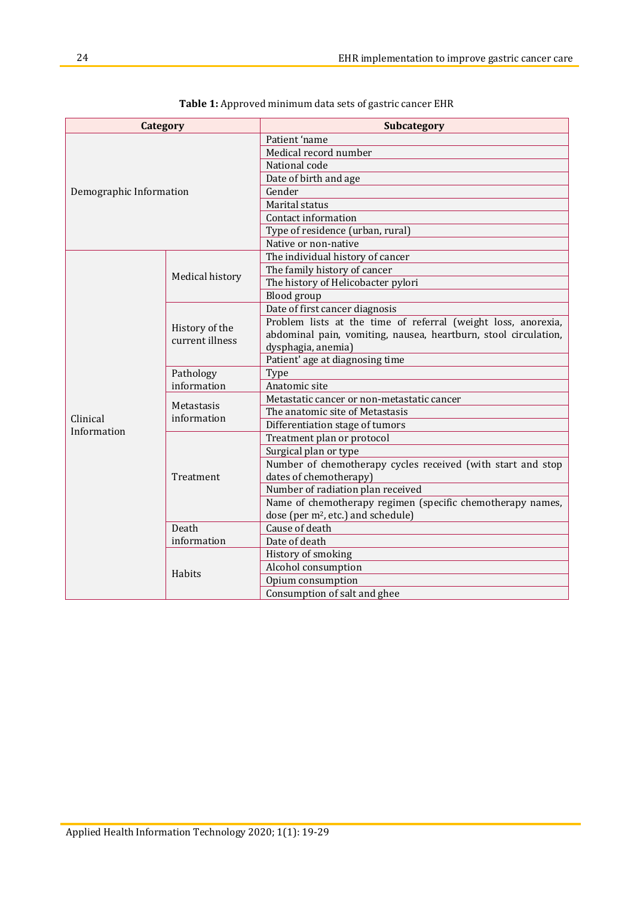| Category                |                                   | <b>Subcategory</b>                                              |  |  |  |  |
|-------------------------|-----------------------------------|-----------------------------------------------------------------|--|--|--|--|
|                         |                                   | Patient 'name                                                   |  |  |  |  |
|                         |                                   | Medical record number                                           |  |  |  |  |
|                         |                                   | National code                                                   |  |  |  |  |
| Demographic Information |                                   | Date of birth and age                                           |  |  |  |  |
|                         |                                   | Gender                                                          |  |  |  |  |
|                         |                                   | Marital status                                                  |  |  |  |  |
|                         |                                   | Contact information                                             |  |  |  |  |
|                         |                                   | Type of residence (urban, rural)                                |  |  |  |  |
|                         |                                   | Native or non-native                                            |  |  |  |  |
|                         |                                   | The individual history of cancer                                |  |  |  |  |
|                         |                                   | The family history of cancer                                    |  |  |  |  |
|                         | Medical history                   | The history of Helicobacter pylori                              |  |  |  |  |
|                         |                                   | Blood group                                                     |  |  |  |  |
|                         |                                   | Date of first cancer diagnosis                                  |  |  |  |  |
|                         | History of the<br>current illness | Problem lists at the time of referral (weight loss, anorexia,   |  |  |  |  |
|                         |                                   | abdominal pain, vomiting, nausea, heartburn, stool circulation, |  |  |  |  |
|                         |                                   | dysphagia, anemia)                                              |  |  |  |  |
|                         |                                   | Patient' age at diagnosing time                                 |  |  |  |  |
|                         | Pathology                         | Type                                                            |  |  |  |  |
|                         | information                       | Anatomic site                                                   |  |  |  |  |
|                         | Metastasis                        | Metastatic cancer or non-metastatic cancer                      |  |  |  |  |
| Clinical                | information                       | The anatomic site of Metastasis                                 |  |  |  |  |
| Information             |                                   | Differentiation stage of tumors                                 |  |  |  |  |
|                         | Treatment                         | Treatment plan or protocol                                      |  |  |  |  |
|                         |                                   | Surgical plan or type                                           |  |  |  |  |
|                         |                                   | Number of chemotherapy cycles received (with start and stop     |  |  |  |  |
|                         |                                   | dates of chemotherapy)                                          |  |  |  |  |
|                         |                                   | Number of radiation plan received                               |  |  |  |  |
|                         |                                   | Name of chemotherapy regimen (specific chemotherapy names,      |  |  |  |  |
|                         |                                   | dose (per m <sup>2</sup> , etc.) and schedule)                  |  |  |  |  |
|                         | Death                             | Cause of death                                                  |  |  |  |  |
|                         | information                       | Date of death                                                   |  |  |  |  |
|                         | Habits                            | History of smoking                                              |  |  |  |  |
|                         |                                   | Alcohol consumption                                             |  |  |  |  |
|                         |                                   | Opium consumption                                               |  |  |  |  |
|                         |                                   | Consumption of salt and ghee                                    |  |  |  |  |

**Table 1:** Approved minimum data sets of gastric cancer EHR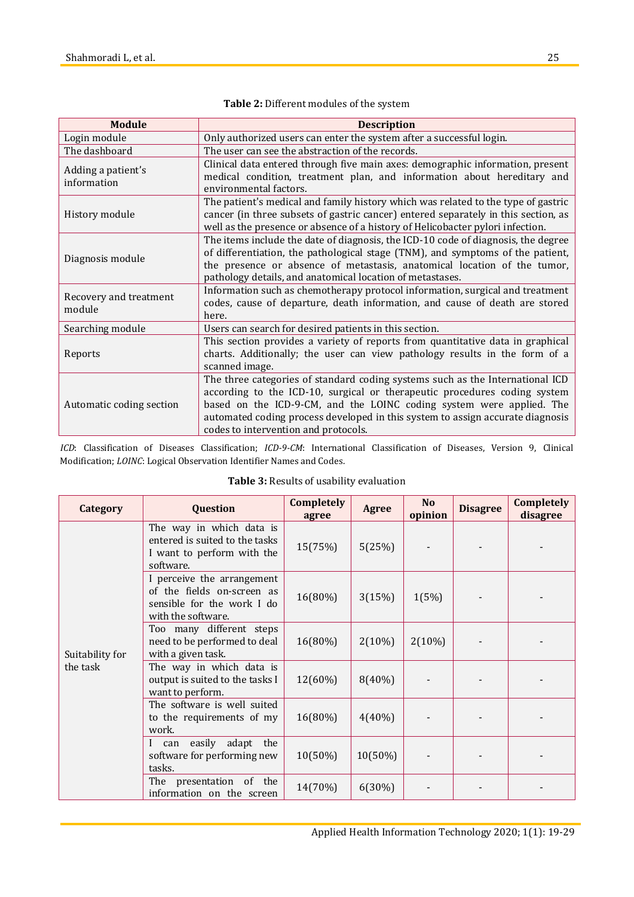| <b>Module</b>                                                                                                                                                                                             | <b>Description</b>                                                                                                                                                                                                                                                                                                                                           |  |
|-----------------------------------------------------------------------------------------------------------------------------------------------------------------------------------------------------------|--------------------------------------------------------------------------------------------------------------------------------------------------------------------------------------------------------------------------------------------------------------------------------------------------------------------------------------------------------------|--|
| Login module                                                                                                                                                                                              | Only authorized users can enter the system after a successful login.                                                                                                                                                                                                                                                                                         |  |
| The dashboard                                                                                                                                                                                             | The user can see the abstraction of the records.                                                                                                                                                                                                                                                                                                             |  |
| Adding a patient's<br>information                                                                                                                                                                         | Clinical data entered through five main axes: demographic information, present<br>medical condition, treatment plan, and information about hereditary and<br>environmental factors.                                                                                                                                                                          |  |
| History module                                                                                                                                                                                            | The patient's medical and family history which was related to the type of gastric<br>cancer (in three subsets of gastric cancer) entered separately in this section, as<br>well as the presence or absence of a history of Helicobacter pylori infection.                                                                                                    |  |
| Diagnosis module                                                                                                                                                                                          | The items include the date of diagnosis, the ICD-10 code of diagnosis, the degree<br>of differentiation, the pathological stage (TNM), and symptoms of the patient,<br>the presence or absence of metastasis, anatomical location of the tumor,<br>pathology details, and anatomical location of metastases.                                                 |  |
| Information such as chemotherapy protocol information, surgical and treatment<br>Recovery and treatment<br>codes, cause of departure, death information, and cause of death are stored<br>module<br>here. |                                                                                                                                                                                                                                                                                                                                                              |  |
| Searching module                                                                                                                                                                                          | Users can search for desired patients in this section.                                                                                                                                                                                                                                                                                                       |  |
| Reports                                                                                                                                                                                                   | This section provides a variety of reports from quantitative data in graphical<br>charts. Additionally; the user can view pathology results in the form of a<br>scanned image.                                                                                                                                                                               |  |
| Automatic coding section                                                                                                                                                                                  | The three categories of standard coding systems such as the International ICD<br>according to the ICD-10, surgical or therapeutic procedures coding system<br>based on the ICD-9-CM, and the LOINC coding system were applied. The<br>automated coding process developed in this system to assign accurate diagnosis<br>codes to intervention and protocols. |  |

### **Table 2:** Different modules of the system

*ICD*: Classification of Diseases Classification; *ICD-9-CM*: International Classification of Diseases, Version 9, Clinical Modification; *LOINC*: Logical Observation Identifier Names and Codes.

| <b>Category</b>             | <b>Question</b>                                                                                              | Completely<br>agree | <b>Agree</b> | N <sub>o</sub><br>opinion | <b>Disagree</b> | Completely<br>disagree |
|-----------------------------|--------------------------------------------------------------------------------------------------------------|---------------------|--------------|---------------------------|-----------------|------------------------|
| Suitability for<br>the task | The way in which data is<br>entered is suited to the tasks<br>I want to perform with the<br>software.        | 15(75%)             | 5(25%)       |                           |                 |                        |
|                             | I perceive the arrangement<br>of the fields on-screen as<br>sensible for the work I do<br>with the software. | 16(80%)             | 3(15%)       | 1(5%)                     |                 |                        |
|                             | Too many different steps<br>need to be performed to deal<br>with a given task.                               | 16(80%)             | $2(10\%)$    | $2(10\%)$                 |                 |                        |
|                             | The way in which data is<br>output is suited to the tasks I<br>want to perform.                              | 12(60%)             | $8(40\%)$    |                           |                 |                        |
|                             | The software is well suited<br>to the requirements of my<br>work.                                            | 16(80%)             | $4(40\%)$    |                           |                 |                        |
|                             | easily adapt<br>the<br>can<br>software for performing new<br>tasks.                                          | $10(50\%)$          | $10(50\%)$   |                           |                 |                        |
|                             | The presentation<br>of the<br>information on the screen                                                      | 14(70%)             | 6(30%)       |                           |                 |                        |

### **Table 3:** Results of usability evaluation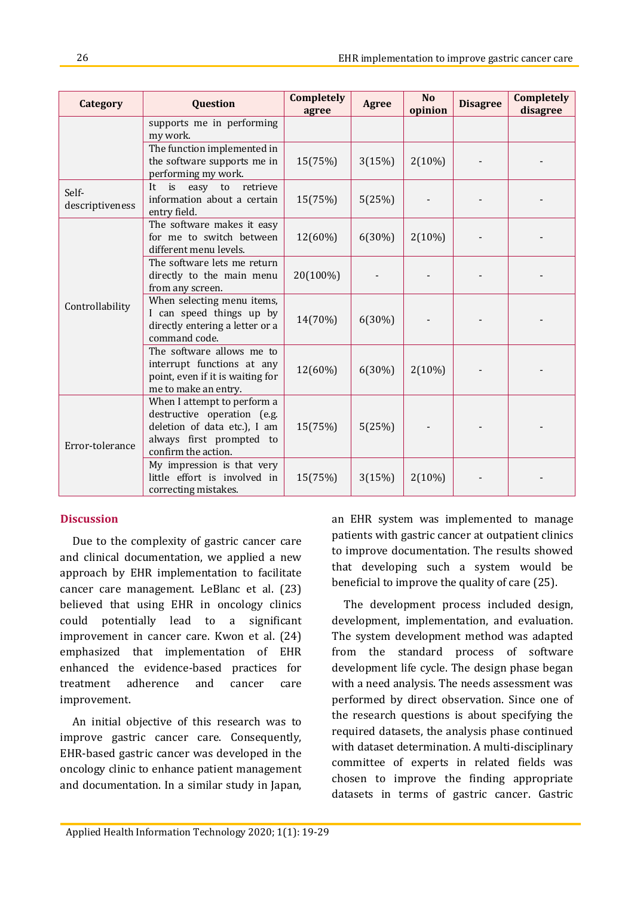| <b>Category</b>          | <b>Question</b>                                                                                                                               | Completely<br>agree | Agree     | <b>No</b><br>opinion | <b>Disagree</b> | Completely<br>disagree |
|--------------------------|-----------------------------------------------------------------------------------------------------------------------------------------------|---------------------|-----------|----------------------|-----------------|------------------------|
|                          | supports me in performing<br>my work.                                                                                                         |                     |           |                      |                 |                        |
|                          | The function implemented in<br>the software supports me in<br>performing my work.                                                             | 15(75%)             | 3(15%)    | $2(10\%)$            |                 |                        |
| Self-<br>descriptiveness | easy to<br>It<br>retrieve<br>$\overline{\mathbf{1}}$<br>information about a certain<br>entry field.                                           | 15(75%)             | 5(25%)    |                      |                 |                        |
| Controllability          | The software makes it easy<br>for me to switch between<br>different menu levels.                                                              | 12(60%)             | 6(30%)    | $2(10\%)$            |                 |                        |
|                          | The software lets me return<br>directly to the main menu<br>from any screen.                                                                  | 20(100%)            |           |                      |                 |                        |
|                          | When selecting menu items,<br>I can speed things up by<br>directly entering a letter or a<br>command code.                                    | 14(70%)             | $6(30\%)$ |                      |                 |                        |
|                          | The software allows me to<br>interrupt functions at any<br>point, even if it is waiting for<br>me to make an entry.                           | 12(60%)             | 6(30%)    | $2(10\%)$            |                 |                        |
| Error-tolerance          | When I attempt to perform a<br>destructive operation (e.g.<br>deletion of data etc.), I am<br>always first prompted to<br>confirm the action. | 15(75%)             | 5(25%)    |                      |                 |                        |
|                          | My impression is that very<br>little effort is involved in<br>correcting mistakes.                                                            | 15(75%)             | 3(15%)    | $2(10\%)$            |                 |                        |

### **Discussion**

Due to the complexity of gastric cancer care and clinical documentation, we applied a new approach by EHR implementation to facilitate cancer care management. LeBlanc et al. (23) believed that using EHR in oncology clinics could potentially lead to a significant improvement in cancer care. Kwon et al. (24) emphasized that implementation of EHR enhanced the evidence-based practices for treatment adherence and cancer care improvement.

An initial objective of this research was to improve gastric cancer care. Consequently, EHR-based gastric cancer was developed in the oncology clinic to enhance patient management and documentation. In a similar study in Japan, an EHR system was implemented to manage patients with gastric cancer at outpatient clinics to improve documentation. The results showed that developing such a system would be beneficial to improve the quality of care (25).

The development process included design, development, implementation, and evaluation. The system development method was adapted from the standard process of software development life cycle. The design phase began with a need analysis. The needs assessment was performed by direct observation. Since one of the research questions is about specifying the required datasets, the analysis phase continued with dataset determination. A multi-disciplinary committee of experts in related fields was chosen to improve the finding appropriate datasets in terms of gastric cancer. Gastric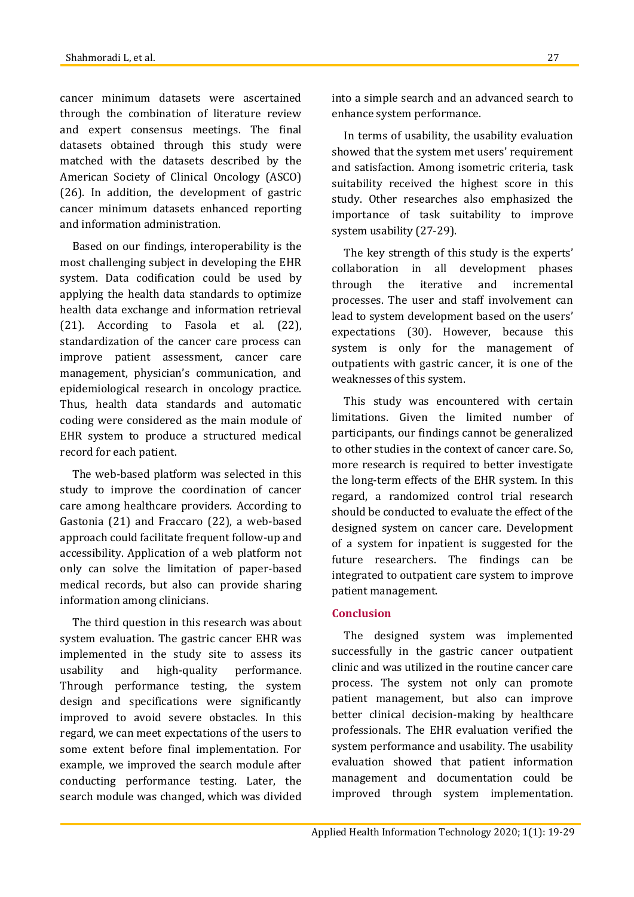cancer minimum datasets were ascertained through the combination of literature review and expert consensus meetings. The final datasets obtained through this study were matched with the datasets described by the American Society of Clinical Oncology (ASCO) (26). In addition, the development of gastric cancer minimum datasets enhanced reporting and information administration.

Based on our findings, interoperability is the most challenging subject in developing the EHR system. Data codification could be used by applying the health data standards to optimize health data exchange and information retrieval (21). According to Fasola et al. (22), standardization of the cancer care process can improve patient assessment, cancer care management, physician's communication, and epidemiological research in oncology practice. Thus, health data standards and automatic coding were considered as the main module of EHR system to produce a structured medical record for each patient.

The web-based platform was selected in this study to improve the coordination of cancer care among healthcare providers. According to Gastonia (21) and Fraccaro (22), a web-based approach could facilitate frequent follow-up and accessibility. Application of a web platform not only can solve the limitation of paper-based medical records, but also can provide sharing information among clinicians.

The third question in this research was about system evaluation. The gastric cancer EHR was implemented in the study site to assess its usability and high-quality performance. Through performance testing, the system design and specifications were significantly improved to avoid severe obstacles. In this regard, we can meet expectations of the users to some extent before final implementation. For example, we improved the search module after conducting performance testing. Later, the search module was changed, which was divided into a simple search and an advanced search to enhance system performance.

In terms of usability, the usability evaluation showed that the system met users' requirement and satisfaction. Among isometric criteria, task suitability received the highest score in this study. Other researches also emphasized the importance of task suitability to improve system usability (27-29).

The key strength of this study is the experts' collaboration in all development phases through the iterative and incremental processes. The user and staff involvement can lead to system development based on the users' expectations (30). However, because this system is only for the management of outpatients with gastric cancer, it is one of the weaknesses of this system.

This study was encountered with certain limitations. Given the limited number of participants, our findings cannot be generalized to other studies in the context of cancer care. So, more research is required to better investigate the long-term effects of the EHR system. In this regard, a randomized control trial research should be conducted to evaluate the effect of the designed system on cancer care. Development of a system for inpatient is suggested for the future researchers. The findings can be integrated to outpatient care system to improve patient management.

### **Conclusion**

The designed system was implemented successfully in the gastric cancer outpatient clinic and was utilized in the routine cancer care process. The system not only can promote patient management, but also can improve better clinical decision-making by healthcare professionals. The EHR evaluation verified the system performance and usability. The usability evaluation showed that patient information management and documentation could be improved through system implementation.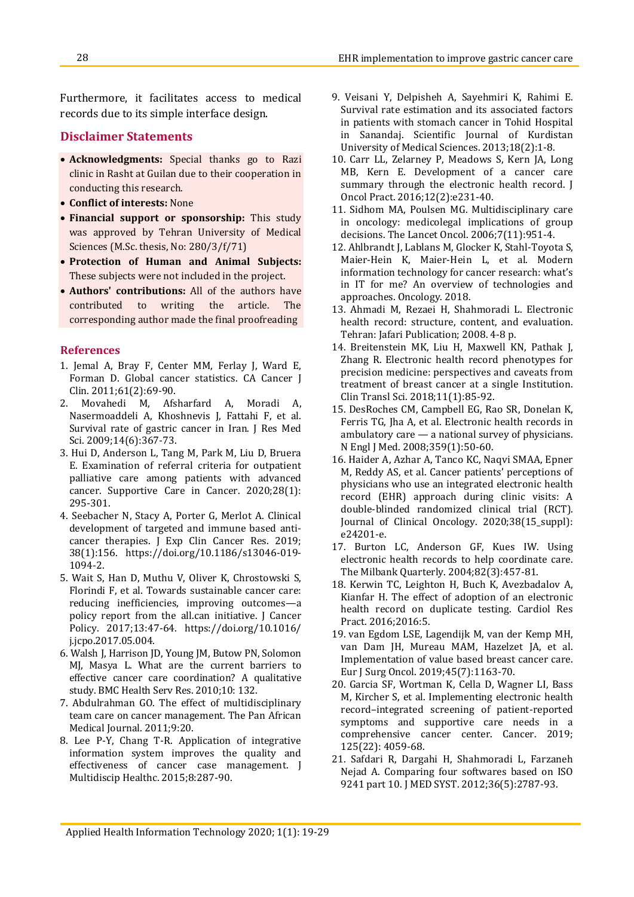Furthermore, it facilitates access to medical records due to its simple interface design.

#### **Disclaimer Statements**

- **Acknowledgments:** Special thanks go to Razi clinic in Rasht at Guilan due to their cooperation in conducting this research.
- **Conflict of interests:** None
- **Financial support or sponsorship:** This study was approved by Tehran University of Medical Sciences (M.Sc. thesis, No: 280/3/f/71)
- **Protection of Human and Animal Subjects:**  These subjects were not included in the project.
- **Authors' contributions:** All of the authors have contributed to writing the article. The corresponding author made the final proofreading

#### **References**

- 1. Jemal A, Bray F, Center MM, Ferlay J, Ward E, Forman D. Global cancer statistics. CA Cancer J Clin. 2011;61(2):69-90.
- 2. Movahedi M, Afsharfard A, Moradi A, Nasermoaddeli A, Khoshnevis J, Fattahi F, et al. Survival rate of gastric cancer in Iran. J Res Med Sci. 2009;14(6):367-73.
- 3. Hui D, Anderson L, Tang M, Park M, Liu D, Bruera E. Examination of referral criteria for outpatient palliative care among patients with advanced cancer. Supportive Care in Cancer. 2020;28(1): 295-301.
- 4. Seebacher N, Stacy A, Porter G, Merlot A. Clinical development of targeted and immune based anticancer therapies. J Exp Clin Cancer Res. 2019; 38(1):156. https://doi.org/10.1186/s13046-019- 1094-2.
- 5. Wait S, Han D, Muthu V, Oliver K, Chrostowski S, Florindi F, et al. Towards sustainable cancer care: reducing inefficiencies, improving outcomes—a policy report from the all.can initiative. J Cancer Policy. 2017;13:47-64. https://doi.org/10.1016/ j.jcpo.2017.05.004.
- 6. Walsh J, Harrison JD, Young JM, Butow PN, Solomon MJ, Masya L. What are the current barriers to effective cancer care coordination? A qualitative study. BMC Health Serv Res. 2010;10: 132.
- 7. Abdulrahman GO. The effect of multidisciplinary team care on cancer management. The Pan African Medical Journal. 2011;9:20.
- 8. Lee P-Y, Chang T-R. Application of integrative information system improves the quality and effectiveness of cancer case management. J Multidiscip Healthc. 2015;8:287-90.
- 9. Veisani Y, Delpisheh A, Sayehmiri K, Rahimi E. Survival rate estimation and its associated factors in patients with stomach cancer in Tohid Hospital in Sanandaj. Scientific Journal of Kurdistan University of Medical Sciences. 2013;18(2):1-8.
- 10. Carr LL, Zelarney P, Meadows S, Kern JA, Long MB, Kern E. Development of a cancer care summary through the electronic health record. J Oncol Pract. 2016;12(2):e231-40.
- 11. Sidhom MA, Poulsen MG. Multidisciplinary care in oncology: medicolegal implications of group decisions. The Lancet Oncol. 2006;7(11):951-4.
- 12. Ahlbrandt J, Lablans M, Glocker K, Stahl-Toyota S, Maier-Hein K, Maier-Hein L, et al. Modern information technology for cancer research: what's in IT for me? An overview of technologies and approaches. Oncology. 2018.
- 13. Ahmadi M, Rezaei H, Shahmoradi L. Electronic health record: structure, content, and evaluation. Tehran: Jafari Publication; 2008. 4-8 p.
- 14. Breitenstein MK, Liu H, Maxwell KN, Pathak J, Zhang R. Electronic health record phenotypes for precision medicine: perspectives and caveats from treatment of breast cancer at a single Institution. Clin Transl Sci. 2018;11(1):85-92.
- 15. DesRoches CM, Campbell EG, Rao SR, Donelan K, Ferris TG, Jha A, et al. Electronic health records in ambulatory care — a national survey of physicians. N Engl J Med. 2008;359(1):50-60.
- 16. Haider A, Azhar A, Tanco KC, Naqvi SMAA, Epner M, Reddy AS, et al. Cancer patients' perceptions of physicians who use an integrated electronic health record (EHR) approach during clinic visits: A double-blinded randomized clinical trial (RCT). Journal of Clinical Oncology. 2020;38(15\_suppl): e24201-e.
- 17. Burton LC, Anderson GF, Kues IW. Using electronic health records to help coordinate care. The Milbank Quarterly. 2004;82(3):457-81.
- 18. Kerwin TC, Leighton H, Buch K, Avezbadalov A, Kianfar H. The effect of adoption of an electronic health record on duplicate testing. Cardiol Res Pract. 2016;2016:5.
- 19. van Egdom LSE, Lagendijk M, van der Kemp MH, van Dam JH, Mureau MAM, Hazelzet JA, et al. Implementation of value based breast cancer care. Eur J Surg Oncol. 2019;45(7):1163-70.
- 20. Garcia SF, Wortman K, Cella D, Wagner LI, Bass M, Kircher S, et al. Implementing electronic health record–integrated screening of patient-reported symptoms and supportive care needs in a comprehensive cancer center. Cancer. 2019; 125(22): 4059-68.
- 21. Safdari R, Dargahi H, Shahmoradi L, Farzaneh Nejad A. Comparing four softwares based on ISO 9241 part 10. J MED SYST. 2012;36(5):2787-93.